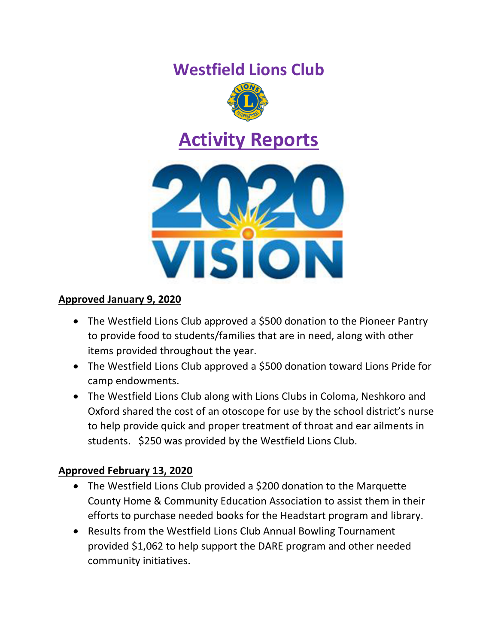# **Westfield Lions Club**



# **Activity Reports**



# **Approved January 9, 2020**

- The Westfield Lions Club approved a \$500 donation to the Pioneer Pantry to provide food to students/families that are in need, along with other items provided throughout the year.
- The Westfield Lions Club approved a \$500 donation toward Lions Pride for camp endowments.
- The Westfield Lions Club along with Lions Clubs in Coloma, Neshkoro and Oxford shared the cost of an otoscope for use by the school district's nurse to help provide quick and proper treatment of throat and ear ailments in students. \$250 was provided by the Westfield Lions Club.

# **Approved February 13, 2020**

- The Westfield Lions Club provided a \$200 donation to the Marquette County Home & Community Education Association to assist them in their efforts to purchase needed books for the Headstart program and library.
- Results from the Westfield Lions Club Annual Bowling Tournament provided \$1,062 to help support the DARE program and other needed community initiatives.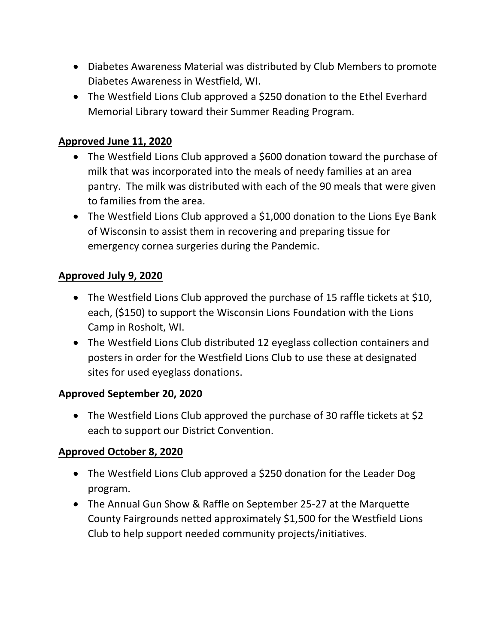- Diabetes Awareness Material was distributed by Club Members to promote Diabetes Awareness in Westfield, WI.
- The Westfield Lions Club approved a \$250 donation to the Ethel Everhard Memorial Library toward their Summer Reading Program.

# **Approved June 11, 2020**

- The Westfield Lions Club approved a \$600 donation toward the purchase of milk that was incorporated into the meals of needy families at an area pantry. The milk was distributed with each of the 90 meals that were given to families from the area.
- The Westfield Lions Club approved a \$1,000 donation to the Lions Eye Bank of Wisconsin to assist them in recovering and preparing tissue for emergency cornea surgeries during the Pandemic.

## **Approved July 9, 2020**

- The Westfield Lions Club approved the purchase of 15 raffle tickets at \$10, each, (\$150) to support the Wisconsin Lions Foundation with the Lions Camp in Rosholt, WI.
- The Westfield Lions Club distributed 12 eyeglass collection containers and posters in order for the Westfield Lions Club to use these at designated sites for used eyeglass donations.

#### **Approved September 20, 2020**

• The Westfield Lions Club approved the purchase of 30 raffle tickets at \$2 each to support our District Convention.

## **Approved October 8, 2020**

- The Westfield Lions Club approved a \$250 donation for the Leader Dog program.
- The Annual Gun Show & Raffle on September 25-27 at the Marquette County Fairgrounds netted approximately \$1,500 for the Westfield Lions Club to help support needed community projects/initiatives.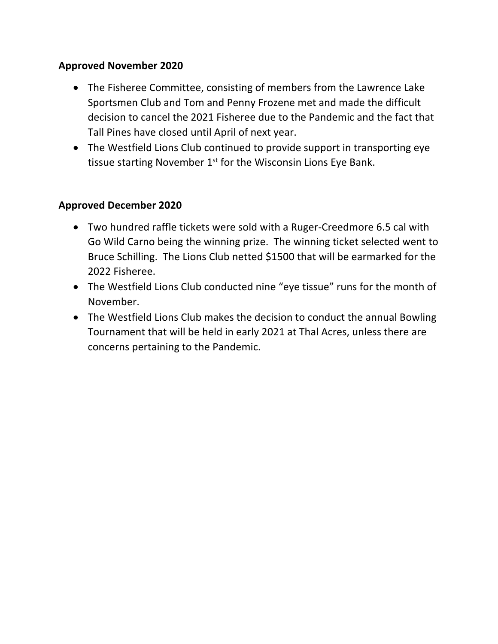# **Approved November 2020**

- The Fisheree Committee, consisting of members from the Lawrence Lake Sportsmen Club and Tom and Penny Frozene met and made the difficult decision to cancel the 2021 Fisheree due to the Pandemic and the fact that Tall Pines have closed until April of next year.
- The Westfield Lions Club continued to provide support in transporting eye tissue starting November  $1<sup>st</sup>$  for the Wisconsin Lions Eye Bank.

## **Approved December 2020**

- Two hundred raffle tickets were sold with a Ruger-Creedmore 6.5 cal with Go Wild Carno being the winning prize. The winning ticket selected went to Bruce Schilling. The Lions Club netted \$1500 that will be earmarked for the 2022 Fisheree.
- The Westfield Lions Club conducted nine "eye tissue" runs for the month of November.
- The Westfield Lions Club makes the decision to conduct the annual Bowling Tournament that will be held in early 2021 at Thal Acres, unless there are concerns pertaining to the Pandemic.